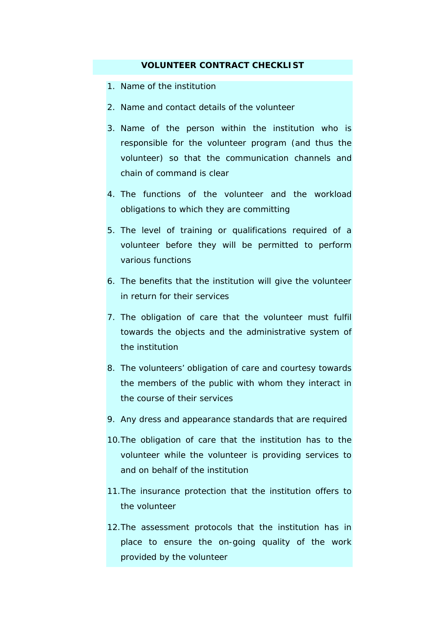## **VOLUNTEER CONTRACT CHECKLIST**

- 1. Name of the institution
- 2. Name and contact details of the volunteer
- 3. Name of the person within the institution who is responsible for the volunteer program (and thus the volunteer) so that the communication channels and chain of command is clear
- 4. The functions of the volunteer and the workload obligations to which they are committing
- 5. The level of training or qualifications required of a volunteer before they will be permitted to perform various functions
- 6. The benefits that the institution will give the volunteer in return for their services
- 7. The obligation of care that the volunteer must fulfil towards the objects and the administrative system of the institution
- 8. The volunteers' obligation of care and courtesy towards the members of the public with whom they interact in the course of their services
- 9. Any dress and appearance standards that are required
- 10.The obligation of care that the institution has to the volunteer while the volunteer is providing services to and on behalf of the institution
- 11.The insurance protection that the institution offers to the volunteer
- 12.The assessment protocols that the institution has in place to ensure the on-going quality of the work provided by the volunteer